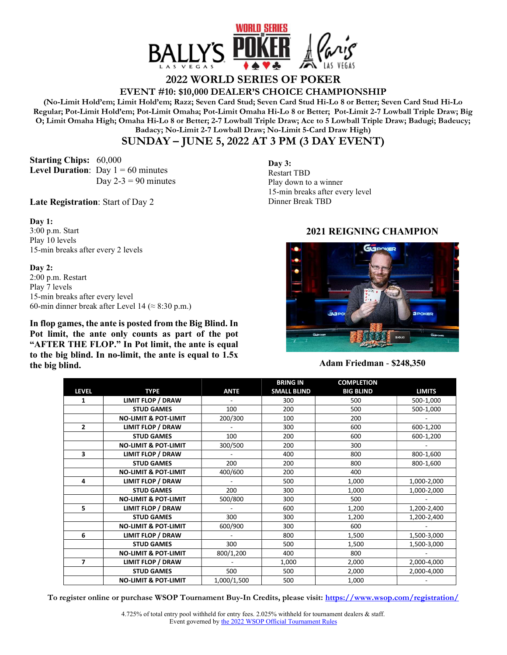

# **2022 WORLD SERIES OF POKER**

**EVENT #10: \$10,000 DEALER'S CHOICE CHAMPIONSHIP** 

**(No-Limit Hold'em; Limit Hold'em; Razz; Seven Card Stud; Seven Card Stud Hi-Lo 8 or Better; Seven Card Stud Hi-Lo Regular; Pot-Limit Hold'em; Pot-Limit Omaha; Pot-Limit Omaha Hi-Lo 8 or Better; Pot-Limit 2-7 Lowball Triple Draw; Big O; Limit Omaha High; Omaha Hi-Lo 8 or Better; 2-7 Lowball Triple Draw; Ace to 5 Lowball Triple Draw; Badugi; Badeucy; Badacy; No-Limit 2-7 Lowball Draw; No-Limit 5-Card Draw High)** 

## **SUNDAY – JUNE 5, 2022 AT 3 PM (3 DAY EVENT)**

**Starting Chips:** 60,000 **Level Duration**: Day  $1 = 60$  minutes Day  $2-3 = 90$  minutes

**Late Registration**: Start of Day 2

**Day 1:** 

3:00 p.m. Start Play 10 levels 15-min breaks after every 2 levels

#### **Day 2:**

2:00 p.m. Restart Play 7 levels 15-min breaks after every level 60-min dinner break after Level 14 ( $\approx$  8:30 p.m.)

**In flop games, the ante is posted from the Big Blind. In Pot limit, the ante only counts as part of the pot "AFTER THE FLOP." In Pot limit, the ante is equal to the big blind. In no-limit, the ante is equal to 1.5x the big blind.** 

**Day 3:** Restart TBD Play down to a winner 15-min breaks after every level Dinner Break TBD

### **2021 REIGNING CHAMPION**



#### **Adam Friedman** - **\$248,350**

|                |                                 |             | <b>BRING IN</b>    | <b>COMPLETION</b> |               |
|----------------|---------------------------------|-------------|--------------------|-------------------|---------------|
| <b>LEVEL</b>   | <b>TYPE</b>                     | <b>ANTE</b> | <b>SMALL BLIND</b> | <b>BIG BLIND</b>  | <b>LIMITS</b> |
| 1              | <b>LIMIT FLOP / DRAW</b>        |             | 300                | 500               | 500-1,000     |
|                | <b>STUD GAMES</b>               | 100         | 200                | 500               | 500-1,000     |
|                | <b>NO-LIMIT &amp; POT-LIMIT</b> | 200/300     | 100                | 200               |               |
| $\overline{2}$ | <b>LIMIT FLOP / DRAW</b>        |             | 300                | 600               | 600-1,200     |
|                | <b>STUD GAMES</b>               | 100         | 200                | 600               | 600-1,200     |
|                | <b>NO-LIMIT &amp; POT-LIMIT</b> | 300/500     | 200                | 300               |               |
| 3              | <b>LIMIT FLOP / DRAW</b>        |             | 400                | 800               | 800-1,600     |
|                | <b>STUD GAMES</b>               | 200         | 200                | 800               | 800-1,600     |
|                | <b>NO-LIMIT &amp; POT-LIMIT</b> | 400/600     | 200                | 400               |               |
| 4              | <b>LIMIT FLOP / DRAW</b>        |             | 500                | 1,000             | 1,000-2,000   |
|                | <b>STUD GAMES</b>               | 200         | 300                | 1,000             | 1,000-2,000   |
|                | <b>NO-LIMIT &amp; POT-LIMIT</b> | 500/800     | 300                | 500               |               |
| 5              | <b>LIMIT FLOP / DRAW</b>        |             | 600                | 1,200             | 1,200-2,400   |
|                | <b>STUD GAMES</b>               | 300         | 300                | 1,200             | 1,200-2,400   |
|                | <b>NO-LIMIT &amp; POT-LIMIT</b> | 600/900     | 300                | 600               |               |
| 6              | <b>LIMIT FLOP / DRAW</b>        |             | 800                | 1,500             | 1,500-3,000   |
|                | <b>STUD GAMES</b>               | 300         | 500                | 1,500             | 1,500-3,000   |
|                | <b>NO-LIMIT &amp; POT-LIMIT</b> | 800/1,200   | 400                | 800               |               |
| 7              | <b>LIMIT FLOP / DRAW</b>        |             | 1,000              | 2,000             | 2,000-4,000   |
|                | <b>STUD GAMES</b>               | 500         | 500                | 2,000             | 2,000-4,000   |
|                | <b>NO-LIMIT &amp; POT-LIMIT</b> | 1,000/1,500 | 500                | 1,000             |               |

**To register online or purchase WSOP Tournament Buy-In Credits, please visit: https://www.wsop.com/registration/**

4.725% of total entry pool withheld for entry fees. 2.025% withheld for tournament dealers & staff. Event governed by the 2022 WSOP Official Tournament Rules